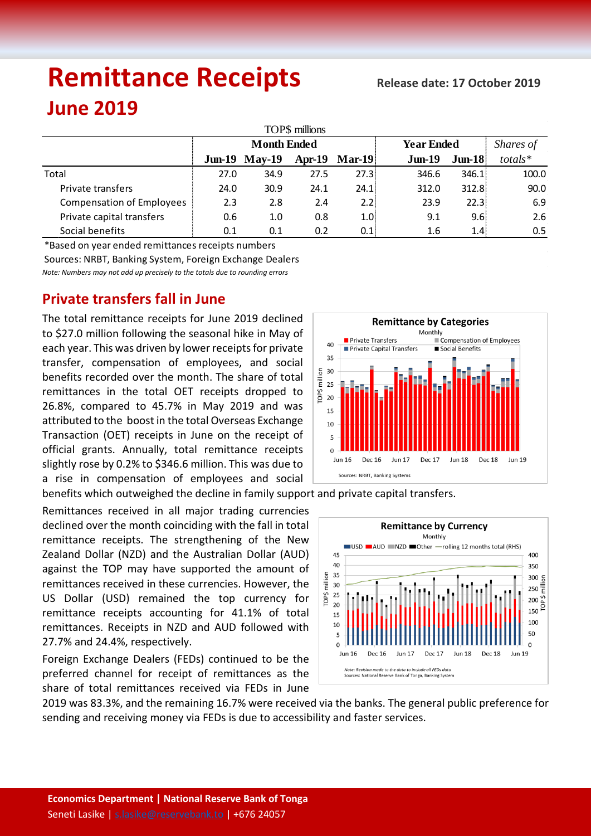# **Remittance Receipts**

## **June 2019**

| TOP\$ millions                   |                    |                      |          |                  |                   |           |               |  |  |  |  |  |
|----------------------------------|--------------------|----------------------|----------|------------------|-------------------|-----------|---------------|--|--|--|--|--|
|                                  | <b>Month Ended</b> |                      |          |                  | <b>Year Ended</b> | Shares of |               |  |  |  |  |  |
|                                  |                    | <b>Jun-19 May-19</b> | $Apr-19$ | $Mar-19$         | $Jun-19$          | $J$ un-18 | $totals*$     |  |  |  |  |  |
| Total                            | 27.0               | 34.9                 | 27.5     | 27.3:            | 346.6             | 346.1     | 100.0         |  |  |  |  |  |
| Private transfers                | 24.0               | 30.9                 | 24.1     | 24.1             | 312.0             | 312.8     | 90.0          |  |  |  |  |  |
| <b>Compensation of Employees</b> | 2.3                | 2.8                  | 2.4      | 2.2:             | 23.9              | 22.3      | 6.9           |  |  |  |  |  |
| Private capital transfers        | 0.6                | 1.0                  | 0.8      | 1.0 <sub>i</sub> | 9.1               | 9.6       | 2.6           |  |  |  |  |  |
| Social benefits                  | 0.1                | 0.1                  | 0.2      | 0.1              | 1.6               | 1.4       | $0.5^{\circ}$ |  |  |  |  |  |

*Note: Numbers may not add up precisely to the totals due to rounding errors* \*Based on year ended remittances receipts numbers Sources: NRBT, Banking System, Foreign Exchange Dealers

### **Private transfers fall in June**

The total remittance receipts for June 2019 declined to \$27.0 million following the seasonal hike in May of each year. This was driven by lower receipts for private transfer, compensation of employees, and social benefits recorded over the month. The share of total remittances in the total OET receipts dropped to 26.8%, compared to 45.7% in May 2019 and was attributed to the boost in the total Overseas Exchange Transaction (OET) receipts in June on the receipt of official grants. Annually, total remittance receipts slightly rose by 0.2% to \$346.6 million. This was due to a rise in compensation of employees and social

Remittances received in all major trading currencies declined over the month coinciding with the fall in total remittance receipts. The strengthening of the New Zealand Dollar (NZD) and the Australian Dollar (AUD) against the TOP may have supported the amount of remittances received in these currencies. However, the US Dollar (USD) remained the top currency for remittance receipts accounting for 41.1% of total remittances. Receipts in NZD and AUD followed with 27.7% and 24.4%, respectively.

Foreign Exchange Dealers (FEDs) continued to be the preferred channel for receipt of remittances as the share of total remittances received via FEDs in June





2019 was 83.3%, and the remaining 16.7% were received via the banks. The general public preference for sending and receiving money via FEDs is due to accessibility and faster services.